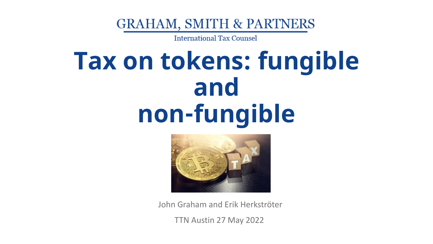**GRAHAM, SMITH & PARTNERS** 

**International Tax Counsel** 

### **Tax on tokens: fungible and non-fungible**



John Graham and Erik Herkströter

TTN Austin 27 May 2022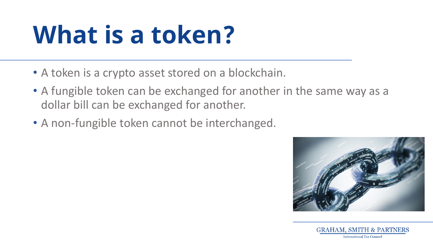### **What is a token?**

- A token is a crypto asset stored on a blockchain.
- A fungible token can be exchanged for another in the same way as a dollar bill can be exchanged for another.
- A non-fungible token cannot be interchanged.



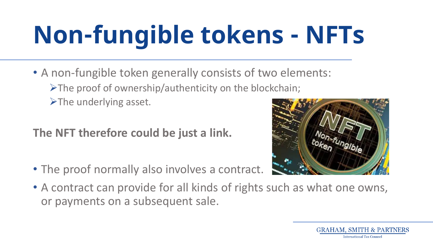# **Non-fungible tokens - NFTs**

- A non-fungible token generally consists of two elements:
	- ➢The proof of ownership/authenticity on the blockchain;
	- $\triangleright$ The underlying asset.

#### **The NFT therefore could be just a link.**

• The proof normally also involves a contract.



• A contract can provide for all kinds of rights such as what one owns, or payments on a subsequent sale.

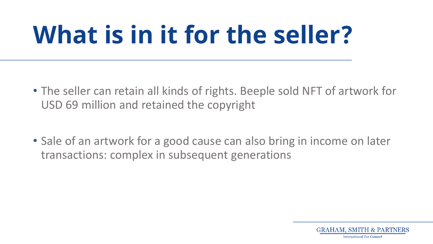## **What is in it for the seller?**

- The seller can retain all kinds of rights. Beeple sold NFT of artwork for USD 69 million and retained the copyright
- Sale of an artwork for a good cause can also bring in income on later transactions: complex in subsequent generations

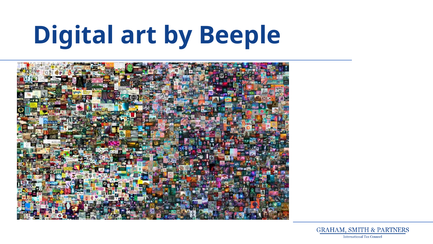# **Digital art by Beeple**



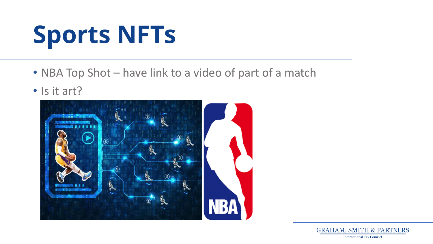## **Sports NFTs**

- NBA Top Shot have link to a video of part of a match
- Is it art?

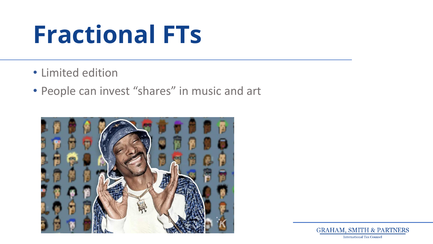### **Fractional FTs**

- Limited edition
- People can invest "shares" in music and art



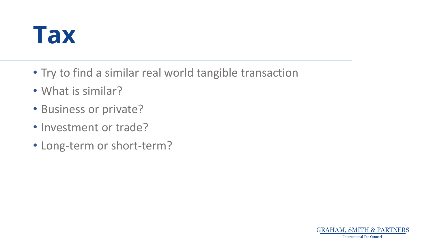### **Tax**

- Try to find a similar real world tangible transaction
- What is similar?
- Business or private?
- Investment or trade?
- Long-term or short-term?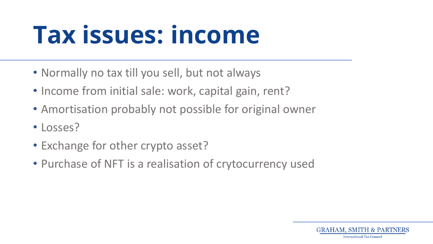### **Tax issues: income**

- Normally no tax till you sell, but not always
- Income from initial sale: work, capital gain, rent?
- Amortisation probably not possible for original owner
- Losses?
- Exchange for other crypto asset?
- Purchase of NFT is a realisation of crytocurrency used

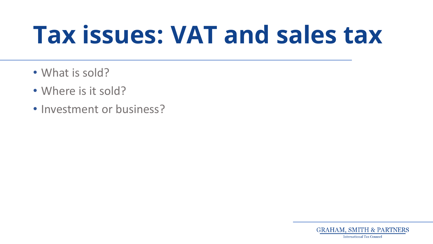### **Tax issues: VAT and sales tax**

- What is sold?
- Where is it sold?
- Investment or business?

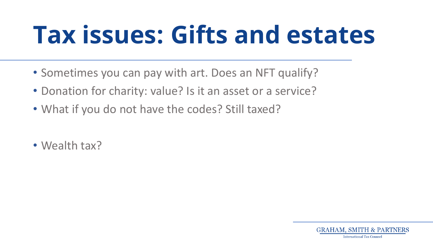### **Tax issues: Gifts and estates**

- Sometimes you can pay with art. Does an NFT qualify?
- Donation for charity: value? Is it an asset or a service?
- What if you do not have the codes? Still taxed?
- Wealth tax?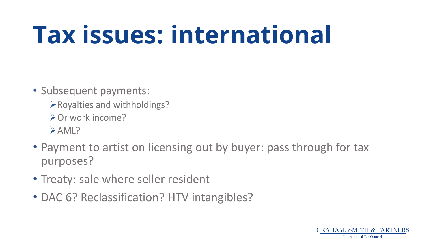### **Tax issues: international**

- Subsequent payments:
	- ➢Royalties and withholdings?
	- ➢Or work income?
	- ➢AML?
- Payment to artist on licensing out by buyer: pass through for tax purposes?
- Treaty: sale where seller resident
- DAC 6? Reclassification? HTV intangibles?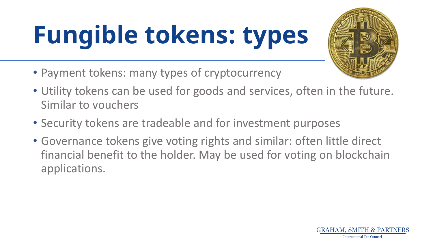# **Fungible tokens: types**



- Utility tokens can be used for goods and services, often in the future. Similar to vouchers
- Security tokens are tradeable and for investment purposes
- Governance tokens give voting rights and similar: often little direct financial benefit to the holder. May be used for voting on blockchain applications.



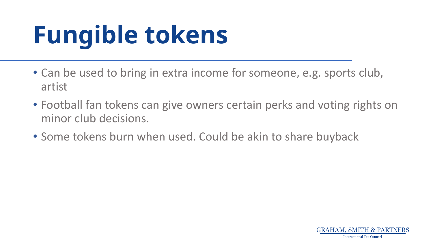# **Fungible tokens**

- Can be used to bring in extra income for someone, e.g. sports club, artist
- Football fan tokens can give owners certain perks and voting rights on minor club decisions.
- Some tokens burn when used. Could be akin to share buyback